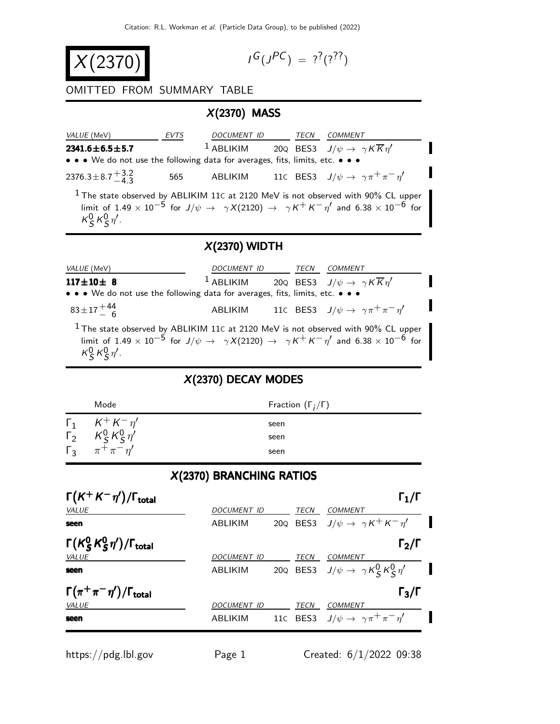$$
X(2370)
$$

$$
I^G(J^{PC}) = ?^?(?^?')
$$

П

#### OMITTED FROM SUMMARY TABLE

## X(2370) MASS

| <i>VALUE</i> (MeV)                                                            | <i>EVTS</i> | <i>DOCUMENT ID</i> | TECN | COMMENT                                                                                      |
|-------------------------------------------------------------------------------|-------------|--------------------|------|----------------------------------------------------------------------------------------------|
| $2341.6 \pm 6.5 \pm 5.7$                                                      |             |                    |      | <sup>1</sup> ABLIKIM 20Q BES3 $J/\psi \rightarrow \gamma K \overline{K} \eta'$               |
| • • • We do not use the following data for averages, fits, limits, etc. • • • |             |                    |      |                                                                                              |
| 2376.3 ± 8.7 $^{+3.2}_{-4.3}$                                                 | 565         | ABLIKIM            |      | 110 BES3 $J/\psi \rightarrow \gamma \pi^+ \pi^- \eta'$                                       |
|                                                                               |             |                    |      | <sup>1</sup> The state observed by ABLIKIM 11C at 2120 MeV is not observed with 90% CL upper |

limit of  $1.49 \times 10^{-5}$  for  $J/\psi \rightarrow \gamma X(2120) \rightarrow \gamma K^+ K^- \eta'$  and  $6.38 \times 10^{-6}$  for  $\kappa_S^0 \kappa_S^0 \eta'$ .

#### X(2370) WIDTH

| <i>VALUE</i> (MeV)                                                                                                                          | <i>DOCUMENT ID</i> | TECN | <i>COMMENT</i>                                            |
|---------------------------------------------------------------------------------------------------------------------------------------------|--------------------|------|-----------------------------------------------------------|
| $117 \pm 10 \pm 8$<br>$\bullet \bullet \bullet$ We do not use the following data for averages, fits, limits, etc. $\bullet \bullet \bullet$ | $1$ ABLIKIM        |      | 200 BES3 $J/\psi \rightarrow \gamma K \overline{K} \eta'$ |
| $83 \pm 17 \frac{+44}{6}$                                                                                                                   | ABLIKIM            |      | 11C BES3 $J/\psi \rightarrow \gamma \pi^+ \pi^- \eta'$    |

 $1$  The state observed by ABLIKIM 11 $c$  at 2120 MeV is not observed with 90% CL upper limit of  $1.49 \times 10^{-5}$  for  $J/\psi \rightarrow \gamma X(2120) \rightarrow \gamma K^{+} K^{-} \eta'$  and  $6.38 \times 10^{-6}$  for  $\kappa_S^0 \kappa_S^0 \eta'$ .

## X(2370) DECAY MODES

| Mode                                     | Fraction $(\Gamma_i/\Gamma)$ |
|------------------------------------------|------------------------------|
| $\Gamma_1$ $K^+ K^- \eta'$               | seen                         |
| $\Gamma_2^{\dagger}$ $K_S^0 K_S^0 \eta'$ | seen                         |
| $\Gamma_3$ $\pi^+ \pi^- \eta'$           | seen                         |

#### X(2370) BRANCHING RATIOS

| $\Gamma(K^+K^-\eta')/\Gamma_{\rm total}$          |                    |             | $\Gamma_1/\Gamma$                                      |  |
|---------------------------------------------------|--------------------|-------------|--------------------------------------------------------|--|
| VALUE                                             | <b>DOCUMENT ID</b> | <b>TECN</b> | COMMENT                                                |  |
| seen                                              | ABLIKIM            |             | 200 BES3 $J/\psi \rightarrow \gamma K^+ K^- \eta'$     |  |
| $\Gamma(K_S^0 K_S^0 \eta')/\Gamma_{\text{total}}$ |                    |             | $\Gamma_2/\Gamma$                                      |  |
| <b>VALUE</b>                                      | <b>DOCUMENT ID</b> | <b>TECN</b> | <b>COMMENT</b>                                         |  |
| seen                                              | <b>ABLIKIM</b>     |             | 200 BES3 $J/\psi \rightarrow \gamma K_S^0 K_S^0 \eta'$ |  |
| $\Gamma(\pi^+\pi^-\eta')/\Gamma_{\rm total}$      |                    |             | $\Gamma_3/\Gamma$                                      |  |
| <b>VALUE</b>                                      | <b>DOCUMENT ID</b> | <b>TECN</b> | <b>COMMENT</b>                                         |  |
| seen                                              | ABLIKIM            |             | 110 BES3 $J/\psi \rightarrow \gamma \pi^+ \pi^- \eta'$ |  |